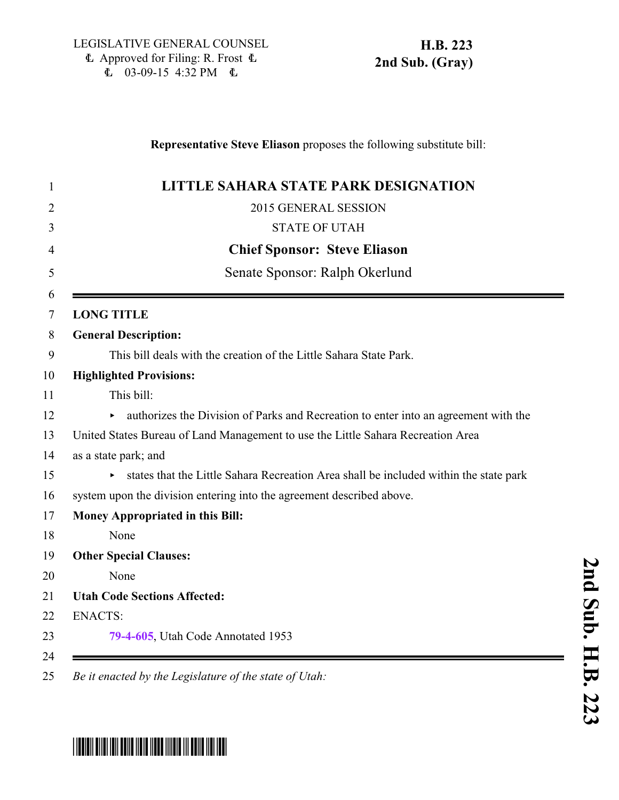## **Representative Steve Eliason** proposes the following substitute bill:

| <b>LITTLE SAHARA STATE PARK DESIGNATION</b>                                           |
|---------------------------------------------------------------------------------------|
| 2015 GENERAL SESSION                                                                  |
| <b>STATE OF UTAH</b>                                                                  |
| <b>Chief Sponsor: Steve Eliason</b>                                                   |
| Senate Sponsor: Ralph Okerlund                                                        |
| <b>LONG TITLE</b>                                                                     |
| <b>General Description:</b>                                                           |
| This bill deals with the creation of the Little Sahara State Park.                    |
| <b>Highlighted Provisions:</b>                                                        |
| This bill:                                                                            |
| authorizes the Division of Parks and Recreation to enter into an agreement with the   |
| United States Bureau of Land Management to use the Little Sahara Recreation Area      |
| as a state park; and                                                                  |
| states that the Little Sahara Recreation Area shall be included within the state park |
| system upon the division entering into the agreement described above.                 |
| Money Appropriated in this Bill:                                                      |
| None                                                                                  |
| <b>Other Special Clauses:</b>                                                         |
| None                                                                                  |
| <b>Utah Code Sections Affected:</b>                                                   |
| <b>ENACTS:</b>                                                                        |
| 79-4-605, Utah Code Annotated 1953                                                    |

**2**

## <span id="page-0-0"></span>\*HB0223S02\*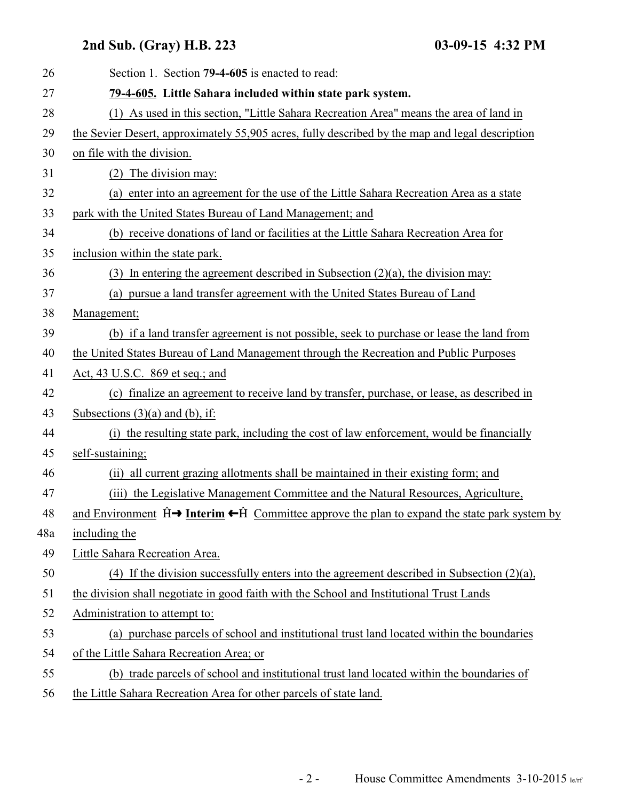## **2nd Sub. (Gray) H.B. 223 03-09-15 4:32 PM**

| 26  | Section 1. Section 79-4-605 is enacted to read:                                                                               |
|-----|-------------------------------------------------------------------------------------------------------------------------------|
| 27  | 79-4-605. Little Sahara included within state park system.                                                                    |
| 28  | (1) As used in this section, "Little Sahara Recreation Area" means the area of land in                                        |
| 29  | the Sevier Desert, approximately 55,905 acres, fully described by the map and legal description                               |
| 30  | on file with the division.                                                                                                    |
| 31  | (2) The division may:                                                                                                         |
| 32  | (a) enter into an agreement for the use of the Little Sahara Recreation Area as a state                                       |
| 33  | park with the United States Bureau of Land Management; and                                                                    |
| 34  | (b) receive donations of land or facilities at the Little Sahara Recreation Area for                                          |
| 35  | inclusion within the state park.                                                                                              |
| 36  | (3) In entering the agreement described in Subsection $(2)(a)$ , the division may:                                            |
| 37  | (a) pursue a land transfer agreement with the United States Bureau of Land                                                    |
| 38  | Management;                                                                                                                   |
| 39  | (b) if a land transfer agreement is not possible, seek to purchase or lease the land from                                     |
| 40  | the United States Bureau of Land Management through the Recreation and Public Purposes                                        |
| 41  | Act, 43 U.S.C. 869 et seq.; and                                                                                               |
| 42  | (c) finalize an agreement to receive land by transfer, purchase, or lease, as described in                                    |
| 43  | Subsections $(3)(a)$ and $(b)$ , if:                                                                                          |
| 44  | (i) the resulting state park, including the cost of law enforcement, would be financially                                     |
| 45  | self-sustaining;                                                                                                              |
| 46  | (ii) all current grazing allotments shall be maintained in their existing form; and                                           |
| 47  | (iii) the Legislative Management Committee and the Natural Resources, Agriculture,                                            |
| 48  | and Environment $\hat{H} \rightarrow Interm \leftarrow \hat{H}$ Committee approve the plan to expand the state park system by |
| 48a | including the                                                                                                                 |
| 49  | Little Sahara Recreation Area.                                                                                                |
| 50  | (4) If the division successfully enters into the agreement described in Subsection $(2)(a)$ ,                                 |
| 51  | the division shall negotiate in good faith with the School and Institutional Trust Lands                                      |
| 52  | Administration to attempt to:                                                                                                 |
| 53  | (a) purchase parcels of school and institutional trust land located within the boundaries                                     |
| 54  | of the Little Sahara Recreation Area; or                                                                                      |
| 55  | (b) trade parcels of school and institutional trust land located within the boundaries of                                     |
| 56  | the Little Sahara Recreation Area for other parcels of state land.                                                            |